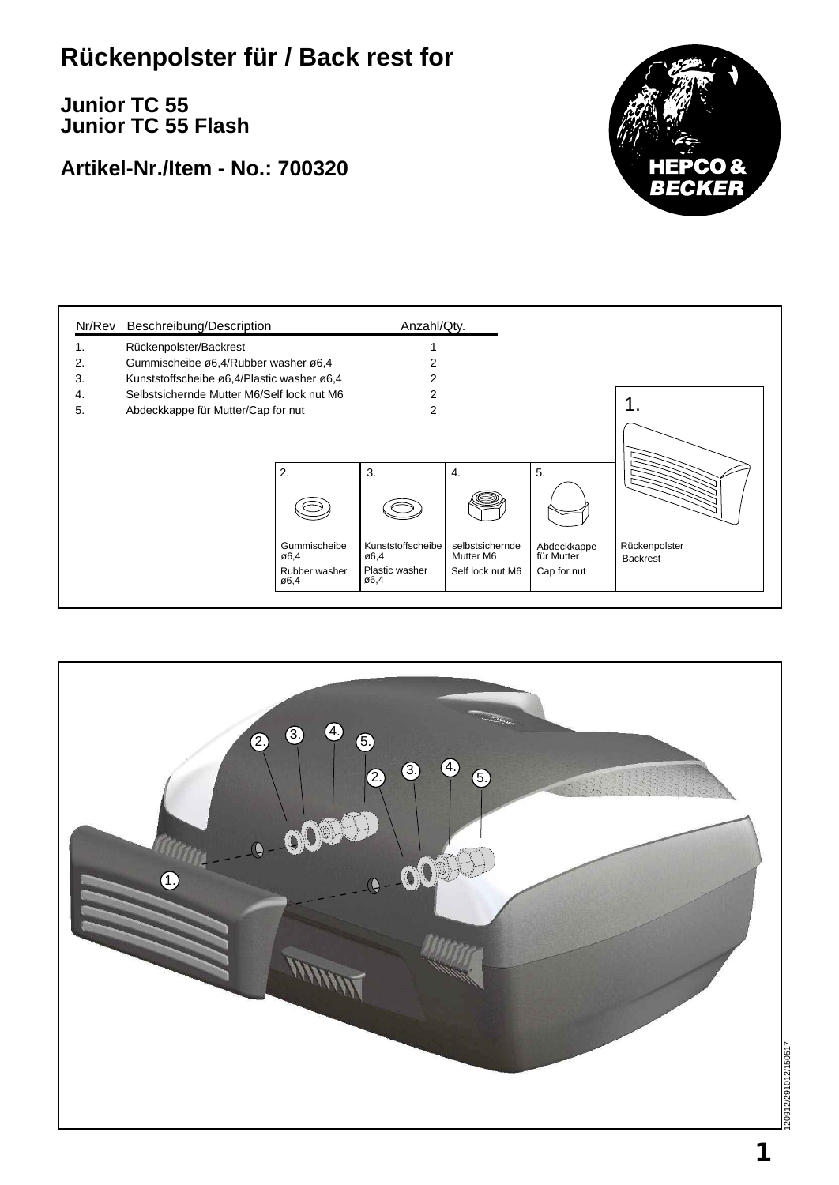## **Rückenpolster für / Back rest for**

**Junior TC 55 Junior TC 55 Flash**

## **Artikel-Nr./Item - No.: 700320**